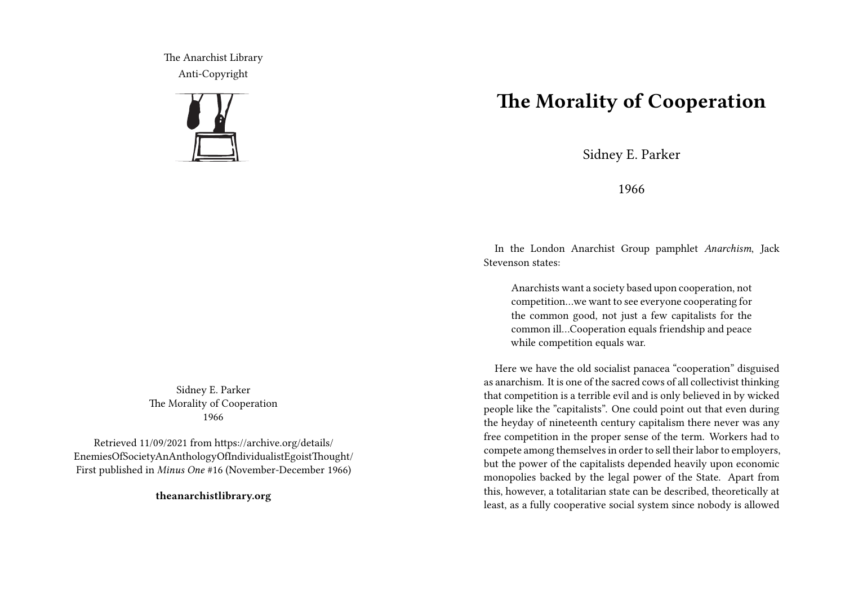The Anarchist Library Anti-Copyright



Sidney E. Parker The Morality of Cooperation 1966

Retrieved 11/09/2021 from https://archive.org/details/ EnemiesOfSocietyAnAnthologyOfIndividualistEgoistThought/ First published in *Minus One* #16 (November-December 1966)

**theanarchistlibrary.org**

## **The Morality of Cooperation**

Sidney E. Parker

1966

In the London Anarchist Group pamphlet *Anarchism*, Jack Stevenson states:

Anarchists want a society based upon cooperation, not competition…we want to see everyone cooperating for the common good, not just a few capitalists for the common ill…Cooperation equals friendship and peace while competition equals war.

Here we have the old socialist panacea "cooperation" disguised as anarchism. It is one of the sacred cows of all collectivist thinking that competition is a terrible evil and is only believed in by wicked people like the "capitalists". One could point out that even during the heyday of nineteenth century capitalism there never was any free competition in the proper sense of the term. Workers had to compete among themselves in order to sell their labor to employers, but the power of the capitalists depended heavily upon economic monopolies backed by the legal power of the State. Apart from this, however, a totalitarian state can be described, theoretically at least, as a fully cooperative social system since nobody is allowed